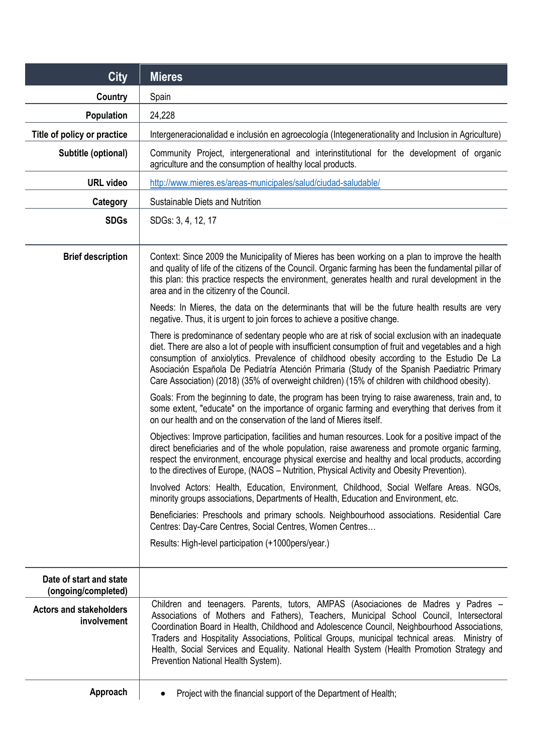| <b>City</b>                                    | <b>Mieres</b>                                                                                                                                                                                                                                                                                                                                                                                                                                                                                                        |
|------------------------------------------------|----------------------------------------------------------------------------------------------------------------------------------------------------------------------------------------------------------------------------------------------------------------------------------------------------------------------------------------------------------------------------------------------------------------------------------------------------------------------------------------------------------------------|
| Country                                        | Spain                                                                                                                                                                                                                                                                                                                                                                                                                                                                                                                |
| Population                                     | 24,228                                                                                                                                                                                                                                                                                                                                                                                                                                                                                                               |
| Title of policy or practice                    | Intergeneracionalidad e inclusión en agroecología (Integenerationality and Inclusion in Agriculture)                                                                                                                                                                                                                                                                                                                                                                                                                 |
| Subtitle (optional)                            | Community Project, intergenerational and interinstitutional for the development of organic<br>agriculture and the consumption of healthy local products.                                                                                                                                                                                                                                                                                                                                                             |
| <b>URL video</b>                               | http://www.mieres.es/areas-municipales/salud/ciudad-saludable/                                                                                                                                                                                                                                                                                                                                                                                                                                                       |
| Category                                       | Sustainable Diets and Nutrition                                                                                                                                                                                                                                                                                                                                                                                                                                                                                      |
| <b>SDGs</b>                                    | SDGs: 3, 4, 12, 17                                                                                                                                                                                                                                                                                                                                                                                                                                                                                                   |
| <b>Brief description</b>                       | Context: Since 2009 the Municipality of Mieres has been working on a plan to improve the health<br>and quality of life of the citizens of the Council. Organic farming has been the fundamental pillar of<br>this plan: this practice respects the environment, generates health and rural development in the<br>area and in the citizenry of the Council.                                                                                                                                                           |
|                                                | Needs: In Mieres, the data on the determinants that will be the future health results are very<br>negative. Thus, it is urgent to join forces to achieve a positive change.                                                                                                                                                                                                                                                                                                                                          |
|                                                | There is predominance of sedentary people who are at risk of social exclusion with an inadequate<br>diet. There are also a lot of people with insufficient consumption of fruit and vegetables and a high<br>consumption of anxiolytics. Prevalence of childhood obesity according to the Estudio De La<br>Asociación Española De Pediatría Atención Primaria (Study of the Spanish Paediatric Primary<br>Care Association) (2018) (35% of overweight children) (15% of children with childhood obesity).            |
|                                                | Goals: From the beginning to date, the program has been trying to raise awareness, train and, to<br>some extent, "educate" on the importance of organic farming and everything that derives from it<br>on our health and on the conservation of the land of Mieres itself.                                                                                                                                                                                                                                           |
|                                                | Objectives: Improve participation, facilities and human resources. Look for a positive impact of the<br>direct beneficiaries and of the whole population, raise awareness and promote organic farming,<br>respect the environment, encourage physical exercise and healthy and local products, according<br>to the directives of Europe, (NAOS – Nutrition, Physical Activity and Obesity Prevention).                                                                                                               |
|                                                | Involved Actors: Health, Education, Environment, Childhood, Social Welfare Areas. NGOs,<br>minority groups associations, Departments of Health, Education and Environment, etc.                                                                                                                                                                                                                                                                                                                                      |
|                                                | Beneficiaries: Preschools and primary schools. Neighbourhood associations. Residential Care<br>Centres: Day-Care Centres, Social Centres, Women Centres                                                                                                                                                                                                                                                                                                                                                              |
|                                                | Results: High-level participation (+1000pers/year.)                                                                                                                                                                                                                                                                                                                                                                                                                                                                  |
| Date of start and state<br>(ongoing/completed) |                                                                                                                                                                                                                                                                                                                                                                                                                                                                                                                      |
| <b>Actors and stakeholders</b><br>involvement  | Children and teenagers. Parents, tutors, AMPAS (Asociaciones de Madres y Padres -<br>Associations of Mothers and Fathers), Teachers, Municipal School Council, Intersectoral<br>Coordination Board in Health, Childhood and Adolescence Council, Neighbourhood Associations,<br>Traders and Hospitality Associations, Political Groups, municipal technical areas. Ministry of<br>Health, Social Services and Equality. National Health System (Health Promotion Strategy and<br>Prevention National Health System). |
| Approach                                       | Project with the financial support of the Department of Health;<br>$\bullet$                                                                                                                                                                                                                                                                                                                                                                                                                                         |